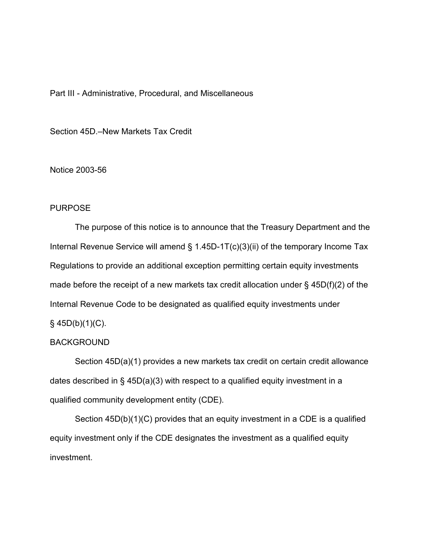## Part III - Administrative, Procedural, and Miscellaneous

Section 45D.–New Markets Tax Credit

Notice 2003-56

## PURPOSE

The purpose of this notice is to announce that the Treasury Department and the Internal Revenue Service will amend § 1.45D-1T(c)(3)(ii) of the temporary Income Tax Regulations to provide an additional exception permitting certain equity investments made before the receipt of a new markets tax credit allocation under  $\S$  45D(f)(2) of the Internal Revenue Code to be designated as qualified equity investments under  $§$  45D(b)(1)(C).

## BACKGROUND

Section 45D(a)(1) provides a new markets tax credit on certain credit allowance dates described in § 45D(a)(3) with respect to a qualified equity investment in a qualified community development entity (CDE).

Section 45D(b)(1)(C) provides that an equity investment in a CDE is a qualified equity investment only if the CDE designates the investment as a qualified equity investment.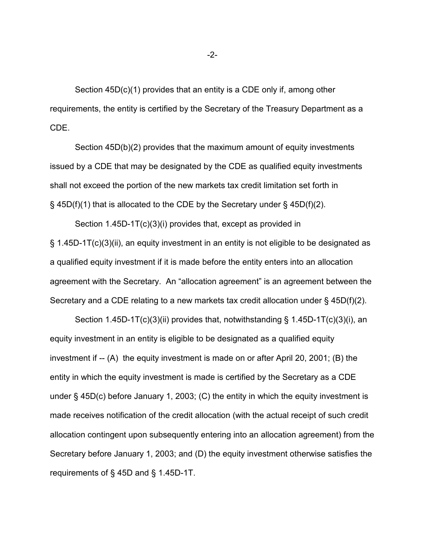Section 45D(c)(1) provides that an entity is a CDE only if, among other requirements, the entity is certified by the Secretary of the Treasury Department as a CDE.

Section 45D(b)(2) provides that the maximum amount of equity investments issued by a CDE that may be designated by the CDE as qualified equity investments shall not exceed the portion of the new markets tax credit limitation set forth in  $\S$  45D(f)(1) that is allocated to the CDE by the Secretary under  $\S$  45D(f)(2).

Section 1.45D-1T(c)(3)(i) provides that, except as provided in § 1.45D-1T(c)(3)(ii), an equity investment in an entity is not eligible to be designated as a qualified equity investment if it is made before the entity enters into an allocation agreement with the Secretary. An "allocation agreement" is an agreement between the Secretary and a CDE relating to a new markets tax credit allocation under § 45D(f)(2).

Section 1.45D-1T(c)(3)(ii) provides that, notwithstanding § 1.45D-1T(c)(3)(i), an equity investment in an entity is eligible to be designated as a qualified equity investment if -- (A) the equity investment is made on or after April 20, 2001; (B) the entity in which the equity investment is made is certified by the Secretary as a CDE under § 45D(c) before January 1, 2003; (C) the entity in which the equity investment is made receives notification of the credit allocation (with the actual receipt of such credit allocation contingent upon subsequently entering into an allocation agreement) from the Secretary before January 1, 2003; and (D) the equity investment otherwise satisfies the requirements of § 45D and § 1.45D-1T.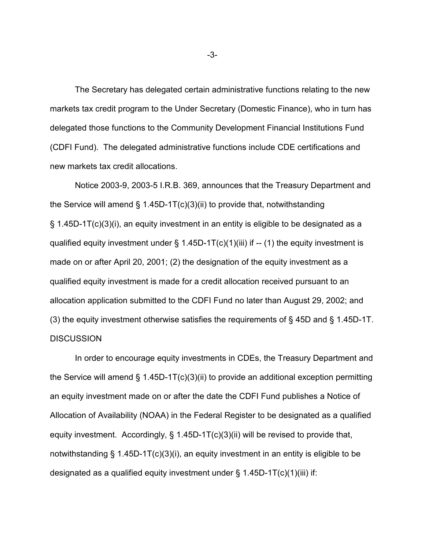The Secretary has delegated certain administrative functions relating to the new markets tax credit program to the Under Secretary (Domestic Finance), who in turn has delegated those functions to the Community Development Financial Institutions Fund (CDFI Fund). The delegated administrative functions include CDE certifications and new markets tax credit allocations.

Notice 2003-9, 2003-5 I.R.B. 369, announces that the Treasury Department and the Service will amend  $\S$  1.45D-1T(c)(3)(ii) to provide that, notwithstanding § 1.45D-1T(c)(3)(i), an equity investment in an entity is eligible to be designated as a qualified equity investment under  $\S$  1.45D-1T(c)(1)(iii) if  $-$  (1) the equity investment is made on or after April 20, 2001; (2) the designation of the equity investment as a qualified equity investment is made for a credit allocation received pursuant to an allocation application submitted to the CDFI Fund no later than August 29, 2002; and (3) the equity investment otherwise satisfies the requirements of § 45D and § 1.45D-1T. **DISCUSSION** 

In order to encourage equity investments in CDEs, the Treasury Department and the Service will amend § 1.45D-1T(c)(3)(ii) to provide an additional exception permitting an equity investment made on or after the date the CDFI Fund publishes a Notice of Allocation of Availability (NOAA) in the Federal Register to be designated as a qualified equity investment. Accordingly, § 1.45D-1T(c)(3)(ii) will be revised to provide that, notwithstanding § 1.45D-1T(c)(3)(i), an equity investment in an entity is eligible to be designated as a qualified equity investment under  $\S$  1.45D-1T(c)(1)(iii) if:

-3-